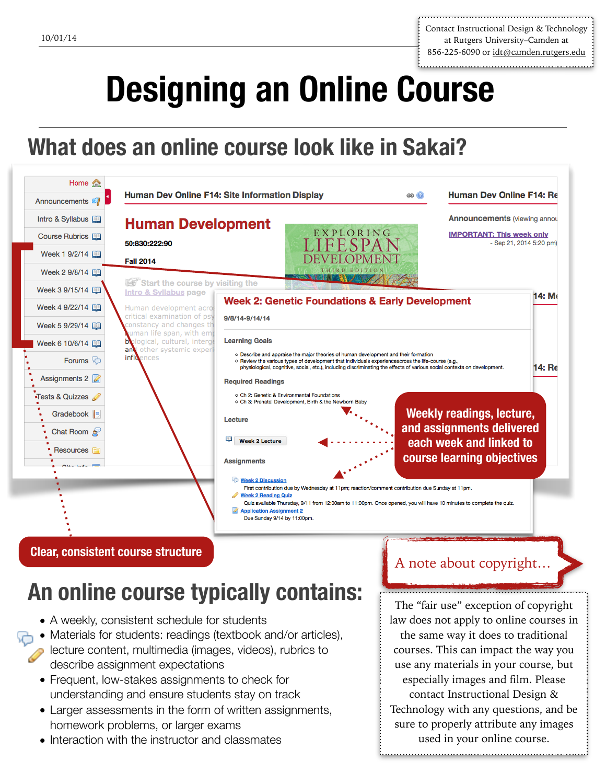Contact Instructional Design & Technology at Rutgers University–Camden at 856-225-6090 or [idt@camden.rutgers.edu](mailto:idt@camden.rutgers.edu)

# **Designing an Online Course**

## **What does an online course look like in Sakai?**



## **An online course typically contains:**

- A weekly, consistent schedule for students
- Materials for students: readings (textbook and/or articles),
	- lecture content, multimedia (images, videos), rubrics to describe assignment expectations
		- Frequent, low-stakes assignments to check for understanding and ensure students stay on track
		- Larger assessments in the form of written assignments, homework problems, or larger exams
		- Interaction with the instructor and classmates

### A note about copyright…

The "fair use" exception of copyright law does not apply to online courses in the same way it does to traditional courses. This can impact the way you use any materials in your course, but especially images and film. Please contact Instructional Design & Technology with any questions, and be sure to properly attribute any images used in your online course.